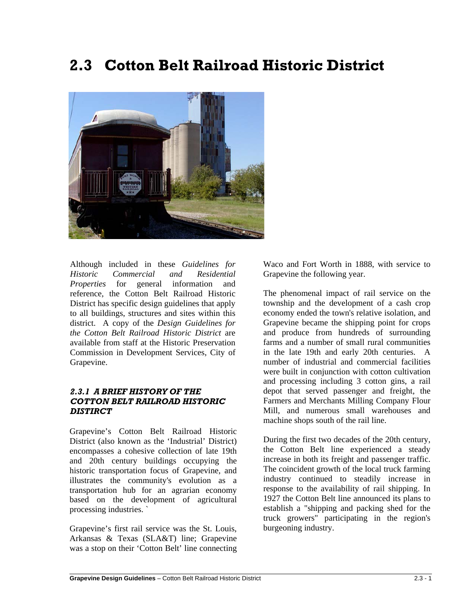# **2.3 Cotton Belt Railroad Historic District**



Although included in these *Guidelines for Historic Commercial and Residential Properties* for general information and reference, the Cotton Belt Railroad Historic District has specific design guidelines that apply to all buildings, structures and sites within this district. A copy of the *Design Guidelines for the Cotton Belt Railroad Historic District* are available from staff at the Historic Preservation Commission in Development Services, City of Grapevine.

## *2.3.1 A BRIEF HISTORY OF THE COTTON BELT RAILROAD HISTORIC DISTIRCT*

Grapevine's Cotton Belt Railroad Historic District (also known as the 'Industrial' District) encompasses a cohesive collection of late 19th and 20th century buildings occupying the historic transportation focus of Grapevine, and illustrates the community's evolution as a transportation hub for an agrarian economy based on the development of agricultural processing industries. `

Grapevine's first rail service was the St. Louis, Arkansas & Texas (SLA&T) line; Grapevine was a stop on their 'Cotton Belt' line connecting

Waco and Fort Worth in 1888, with service to Grapevine the following year.

The phenomenal impact of rail service on the township and the development of a cash crop economy ended the town's relative isolation, and Grapevine became the shipping point for crops and produce from hundreds of surrounding farms and a number of small rural communities in the late 19th and early 20th centuries. A number of industrial and commercial facilities were built in conjunction with cotton cultivation and processing including 3 cotton gins, a rail depot that served passenger and freight, the Farmers and Merchants Milling Company Flour Mill, and numerous small warehouses and machine shops south of the rail line.

During the first two decades of the 20th century, the Cotton Belt line experienced a steady increase in both its freight and passenger traffic. The coincident growth of the local truck farming industry continued to steadily increase in response to the availability of rail shipping. In 1927 the Cotton Belt line announced its plans to establish a "shipping and packing shed for the truck growers" participating in the region's burgeoning industry.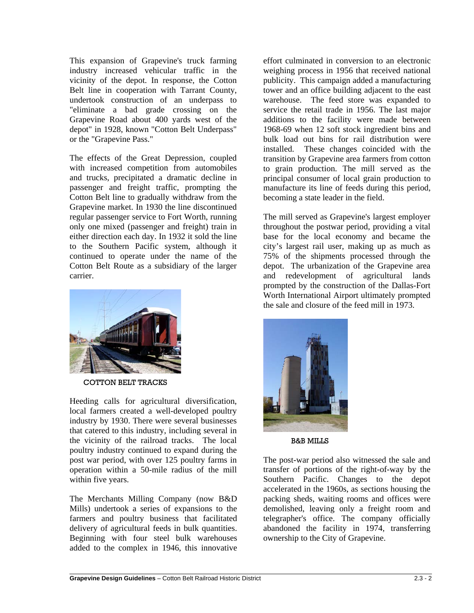This expansion of Grapevine's truck farming industry increased vehicular traffic in the vicinity of the depot. In response, the Cotton Belt line in cooperation with Tarrant County, undertook construction of an underpass to "eliminate a bad grade crossing on the Grapevine Road about 400 yards west of the depot" in 1928, known "Cotton Belt Underpass" or the "Grapevine Pass."

The effects of the Great Depression, coupled with increased competition from automobiles and trucks, precipitated a dramatic decline in passenger and freight traffic, prompting the Cotton Belt line to gradually withdraw from the Grapevine market. In 1930 the line discontinued regular passenger service to Fort Worth, running only one mixed (passenger and freight) train in either direction each day. In 1932 it sold the line to the Southern Pacific system, although it continued to operate under the name of the Cotton Belt Route as a subsidiary of the larger carrier.



COTTON BELT TRACKS

Heeding calls for agricultural diversification, local farmers created a well-developed poultry industry by 1930. There were several businesses that catered to this industry, including several in the vicinity of the railroad tracks. The local poultry industry continued to expand during the post war period, with over 125 poultry farms in operation within a 50-mile radius of the mill within five years.

The Merchants Milling Company (now B&D Mills) undertook a series of expansions to the farmers and poultry business that facilitated delivery of agricultural feeds in bulk quantities. Beginning with four steel bulk warehouses added to the complex in 1946, this innovative effort culminated in conversion to an electronic weighing process in 1956 that received national publicity. This campaign added a manufacturing tower and an office building adjacent to the east warehouse. The feed store was expanded to service the retail trade in 1956. The last major additions to the facility were made between 1968-69 when 12 soft stock ingredient bins and bulk load out bins for rail distribution were installed. These changes coincided with the transition by Grapevine area farmers from cotton to grain production. The mill served as the principal consumer of local grain production to manufacture its line of feeds during this period, becoming a state leader in the field.

The mill served as Grapevine's largest employer throughout the postwar period, providing a vital base for the local economy and became the city's largest rail user, making up as much as 75% of the shipments processed through the depot. The urbanization of the Grapevine area and redevelopment of agricultural lands prompted by the construction of the Dallas-Fort Worth International Airport ultimately prompted the sale and closure of the feed mill in 1973.



B&B MILLS

The post-war period also witnessed the sale and transfer of portions of the right-of-way by the Southern Pacific. Changes to the depot accelerated in the 1960s, as sections housing the packing sheds, waiting rooms and offices were demolished, leaving only a freight room and telegrapher's office. The company officially abandoned the facility in 1974, transferring ownership to the City of Grapevine.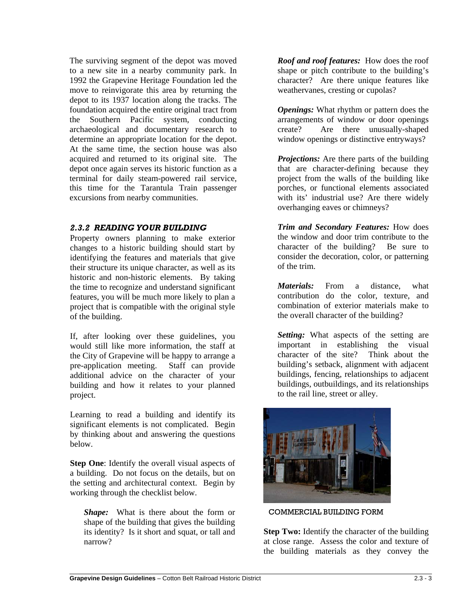The surviving segment of the depot was moved to a new site in a nearby community park. In 1992 the Grapevine Heritage Foundation led the move to reinvigorate this area by returning the depot to its 1937 location along the tracks. The foundation acquired the entire original tract from the Southern Pacific system, conducting archaeological and documentary research to determine an appropriate location for the depot. At the same time, the section house was also acquired and returned to its original site. The depot once again serves its historic function as a terminal for daily steam-powered rail service, this time for the Tarantula Train passenger excursions from nearby communities.

# *2.3.2 READING YOUR BUILDING*

Property owners planning to make exterior changes to a historic building should start by identifying the features and materials that give their structure its unique character, as well as its historic and non-historic elements. By taking the time to recognize and understand significant features, you will be much more likely to plan a project that is compatible with the original style of the building.

If, after looking over these guidelines, you would still like more information, the staff at the City of Grapevine will be happy to arrange a pre-application meeting. Staff can provide additional advice on the character of your building and how it relates to your planned project.

Learning to read a building and identify its significant elements is not complicated. Begin by thinking about and answering the questions below.

**Step One:** Identify the overall visual aspects of a building. Do not focus on the details, but on the setting and architectural context. Begin by working through the checklist below.

*Shape:* What is there about the form or shape of the building that gives the building its identity? Is it short and squat, or tall and narrow?

*Roof and roof features:* How does the roof shape or pitch contribute to the building's character? Are there unique features like weathervanes, cresting or cupolas?

*Openings:* What rhythm or pattern does the arrangements of window or door openings create? Are there unusually-shaped window openings or distinctive entryways?

*Projections:* Are there parts of the building that are character-defining because they project from the walls of the building like porches, or functional elements associated with its' industrial use? Are there widely overhanging eaves or chimneys?

*Trim and Secondary Features:* How does the window and door trim contribute to the character of the building? Be sure to consider the decoration, color, or patterning of the trim.

*Materials:* From a distance, what contribution do the color, texture, and combination of exterior materials make to the overall character of the building?

*Setting:* What aspects of the setting are important in establishing the visual character of the site? Think about the building's setback, alignment with adjacent buildings, fencing, relationships to adjacent buildings, outbuildings, and its relationships to the rail line, street or alley.



COMMERCIAL BUILDING FORM

**Step Two:** Identify the character of the building at close range. Assess the color and texture of the building materials as they convey the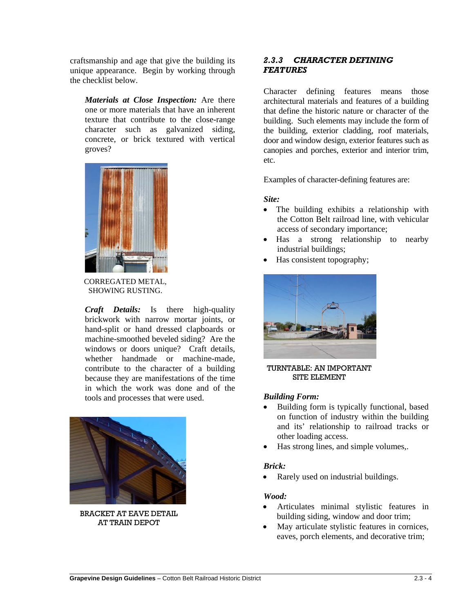craftsmanship and age that give the building its unique appearance. Begin by working through the checklist below.

*Materials at Close Inspection:* Are there one or more materials that have an inherent texture that contribute to the close-range character such as galvanized siding, concrete, or brick textured with vertical groves?



CORREGATED METAL, SHOWING RUSTING.

*Craft Details:* Is there high-quality brickwork with narrow mortar joints, or hand-split or hand dressed clapboards or machine-smoothed beveled siding? Are the windows or doors unique? Craft details, whether handmade or machine-made, contribute to the character of a building because they are manifestations of the time in which the work was done and of the tools and processes that were used.



BRACKET AT EAVE DETAIL AT TRAIN DEPOT

# *2.3.3 CHARACTER DEFINING FEATURES*

Character defining features means those architectural materials and features of a building that define the historic nature or character of the building. Such elements may include the form of the building, exterior cladding, roof materials, door and window design, exterior features such as canopies and porches, exterior and interior trim, etc.

Examples of character-defining features are:

# *Site:*

- The building exhibits a relationship with the Cotton Belt railroad line, with vehicular access of secondary importance;
- Has a strong relationship to nearby industrial buildings;
- Has consistent topography;



TURNTABLE: AN IMPORTANT SITE ELEMENT

# *Building Form:*

- Building form is typically functional, based on function of industry within the building and its' relationship to railroad tracks or other loading access.
- Has strong lines, and simple volumes,.

# *Brick:*

Rarely used on industrial buildings.

# *Wood:*

- Articulates minimal stylistic features in building siding, window and door trim;
- May articulate stylistic features in cornices, eaves, porch elements, and decorative trim;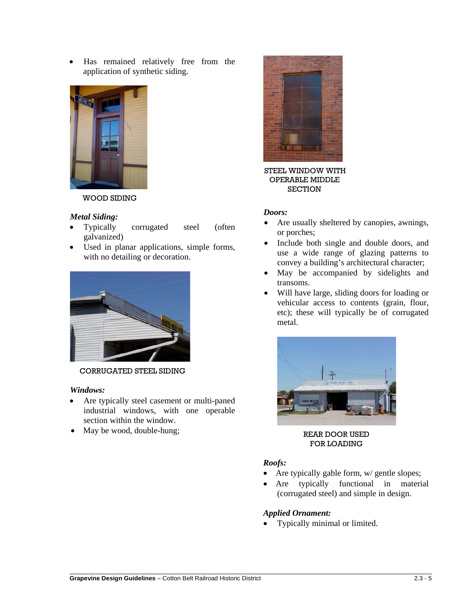• Has remained relatively free from the application of synthetic siding.



WOOD SIDING

## *Metal Siding:*

- Typically corrugated steel (often galvanized)
- Used in planar applications, simple forms, with no detailing or decoration.



CORRUGATED STEEL SIDING

#### *Windows:*

- Are typically steel casement or multi-paned industrial windows, with one operable section within the window.
- May be wood, double-hung;



STEEL WINDOW WITH OPERABLE MIDDLE **SECTION** 

### *Doors:*

- Are usually sheltered by canopies, awnings, or porches;
- Include both single and double doors, and use a wide range of glazing patterns to convey a building's architectural character;
- May be accompanied by sidelights and transoms.
- Will have large, sliding doors for loading or vehicular access to contents (grain, flour, etc); these will typically be of corrugated metal.



REAR DOOR USED FOR LOADING

## *Roofs:*

- Are typically gable form,  $w$  gentle slopes;
- Are typically functional in material (corrugated steel) and simple in design.

## *Applied Ornament:*

• Typically minimal or limited.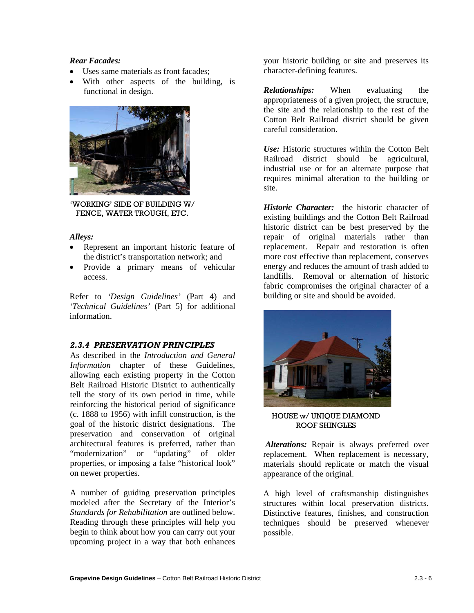# *Rear Facades:*

- Uses same materials as front facades;
- With other aspects of the building, is functional in design.



'WORKING' SIDE OF BUILDING W/ FENCE, WATER TROUGH, ETC.

## *Alleys:*

- Represent an important historic feature of the district's transportation network; and
- Provide a primary means of vehicular access.

Refer to *'Design Guidelines'* (Part 4) and *'Technical Guidelines'* (Part 5) for additional information.

# *2.3.4 PRESERVATION PRINCIPLES*

As described in the *Introduction and General Information* chapter of these Guidelines, allowing each existing property in the Cotton Belt Railroad Historic District to authentically tell the story of its own period in time, while reinforcing the historical period of significance (c. 1888 to 1956) with infill construction, is the goal of the historic district designations. The preservation and conservation of original architectural features is preferred, rather than "modernization" or "updating" of older properties, or imposing a false "historical look" on newer properties.

A number of guiding preservation principles modeled after the Secretary of the Interior's *Standards for Rehabilitation* are outlined below. Reading through these principles will help you begin to think about how you can carry out your upcoming project in a way that both enhances

your historic building or site and preserves its character-defining features.

*Relationships:* When evaluating the appropriateness of a given project, the structure, the site and the relationship to the rest of the Cotton Belt Railroad district should be given careful consideration.

*Use:* Historic structures within the Cotton Belt Railroad district should be agricultural, industrial use or for an alternate purpose that requires minimal alteration to the building or site.

*Historic Character:* the historic character of existing buildings and the Cotton Belt Railroad historic district can be best preserved by the repair of original materials rather than replacement. Repair and restoration is often more cost effective than replacement, conserves energy and reduces the amount of trash added to landfills. Removal or alternation of historic fabric compromises the original character of a building or site and should be avoided.



HOUSE w/ UNIQUE DIAMOND ROOF SHINGLES

*Alterations:* Repair is always preferred over replacement. When replacement is necessary, materials should replicate or match the visual appearance of the original.

A high level of craftsmanship distinguishes structures within local preservation districts. Distinctive features, finishes, and construction techniques should be preserved whenever possible.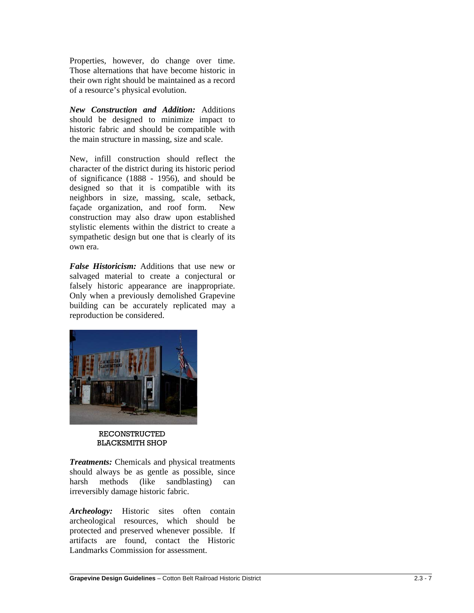Properties, however, do change over time. Those alternations that have become historic in their own right should be maintained as a record of a resource's physical evolution.

*New Construction and Addition:* Additions should be designed to minimize impact to historic fabric and should be compatible with the main structure in massing, size and scale.

New, infill construction should reflect the character of the district during its historic period of significance (1888 - 1956), and should be designed so that it is compatible with its neighbors in size, massing, scale, setback, façade organization, and roof form. New construction may also draw upon established stylistic elements within the district to create a sympathetic design but one that is clearly of its own era.

*False Historicism:* Additions that use new or salvaged material to create a conjectural or falsely historic appearance are inappropriate. Only when a previously demolished Grapevine building can be accurately replicated may a reproduction be considered.



#### RECONSTRUCTED BLACKSMITH SHOP

*Treatments:* Chemicals and physical treatments should always be as gentle as possible, since harsh methods (like sandblasting) can irreversibly damage historic fabric.

*Archeology:* Historic sites often contain archeological resources, which should be protected and preserved whenever possible. If artifacts are found, contact the Historic Landmarks Commission for assessment.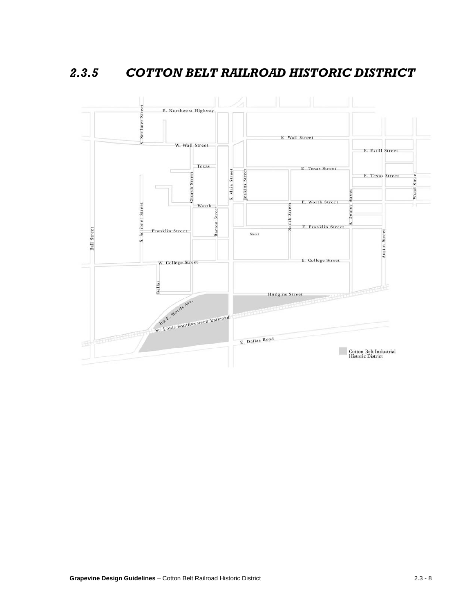*2.3.5 COTTON BELT RAILROAD HISTORIC DISTRICT*



 $\overline{a}$